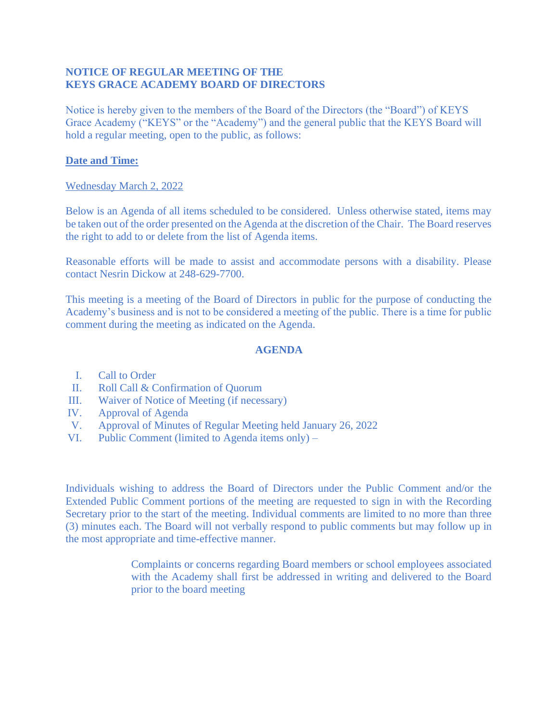## **NOTICE OF REGULAR MEETING OF THE KEYS GRACE ACADEMY BOARD OF DIRECTORS**

Notice is hereby given to the members of the Board of the Directors (the "Board") of KEYS Grace Academy ("KEYS" or the "Academy") and the general public that the KEYS Board will hold a regular meeting, open to the public, as follows:

## **Date and Time:**

## Wednesday March 2, 2022

Below is an Agenda of all items scheduled to be considered. Unless otherwise stated, items may be taken out of the order presented on the Agenda at the discretion of the Chair. The Board reserves the right to add to or delete from the list of Agenda items.

Reasonable efforts will be made to assist and accommodate persons with a disability. Please contact Nesrin Dickow at 248-629-7700.

This meeting is a meeting of the Board of Directors in public for the purpose of conducting the Academy's business and is not to be considered a meeting of the public. There is a time for public comment during the meeting as indicated on the Agenda.

## **AGENDA**

- I. Call to Order
- II. Roll Call & Confirmation of Quorum
- III. Waiver of Notice of Meeting (if necessary)
- IV. Approval of Agenda
- V. Approval of Minutes of Regular Meeting held January 26, 2022
- VI. Public Comment (limited to Agenda items only) –

Individuals wishing to address the Board of Directors under the Public Comment and/or the Extended Public Comment portions of the meeting are requested to sign in with the Recording Secretary prior to the start of the meeting. Individual comments are limited to no more than three (3) minutes each. The Board will not verbally respond to public comments but may follow up in the most appropriate and time-effective manner.

> Complaints or concerns regarding Board members or school employees associated with the Academy shall first be addressed in writing and delivered to the Board prior to the board meeting